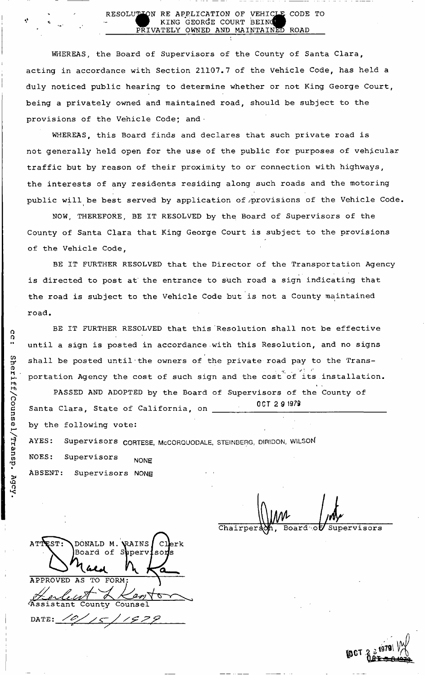#### RESOLUTION RE APPLICATION OF VEHICL KING GEORGE COURT BEING PRIVATELY OWNED AND MAINTA NED ROAD CODE TO

WHEREAS, the Board of Supervisors of the County of Santa Clara, acting in accordance with Section 21107.7 of the Vehicle Code, has held a duly noticed public hearing to determine whether or not King George Court, being a privately owned and maintained road, should be subject to the provisions of the Vehicle Code; and ·

WHEREAS, this Board finds and declares that such private road is not generally held open for the use of the public for purposes of vehicular traffic but by reason of their proximity to or connection with highways, the interests of any residents residing along such roads and the motoring public will be best served by application of provisions of the Vehicle Code.

NOW, THEREFORE, BE IT RESOLVED by the Board of Supervisors of the County of Santa Clara that King George Court is subject to the provisions of the Vehicle Code,

BE IT FURTHER RESOLVED that the Director of the Transportation Agency is directed to post at' the entrance to such road a sign indicating that the road is subject to the Vehicle Code but is not a County maintained road.

BE IT FURTHER RESOLVED that this Resolution shall not be effective until a sign is posted in accordance .with this Resolution, and no signs shall be posted until'the owners of the private road pay to the Trans-  $\begin{array}{c} \bullet & \bullet & \bullet \\ \bullet & \bullet & \bullet & \bullet \end{array}$ portation Agency the cost of such sign and the cost of its installation.

*i*  PASSED AND ADOPTED by the Board of Supervisors of the County of OCT 2 9 1979 Santa Clara, State of California, on \_ Santa Clara, State of California, on AYES: Supervisors CORTESE, McCORQUODALE, STEINBERG, DIRIDON, WILSON  $A_{\rm{SUSY}}$  is supervisors  $C_{\rm{SUSY}}$  in the supervisors  $C_{\rm{SUSY}}$ **NONE** NOES: Supervisors NONE ABSENT: Supervisors NONE

Chairper: *ML*<br>1. Board of Superviso Board of Supervisors

 $\mathbf{L}$ 

ATTEST: DONALD M. VRAINS / CI Board of Superviso $\,$ APPROVED AS TO FORM Assistant County Counsel DATE:  $\angle$  $\frac{1}{5}$ 

i



cc:  $\tilde{\mathbf{c}}$  $\bar{\hat{\mathsf{n}}}$  . iff/Couns.  $\overline{\mathbf{p}}$ *n*  D>  $\overline{\omega}$ *>*  o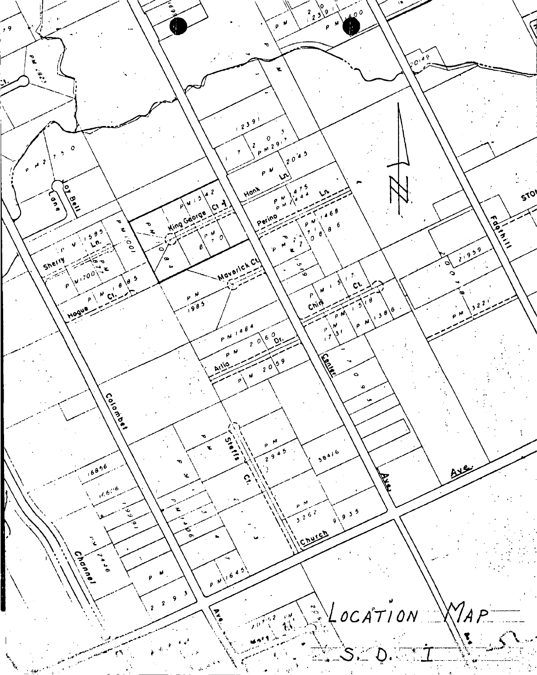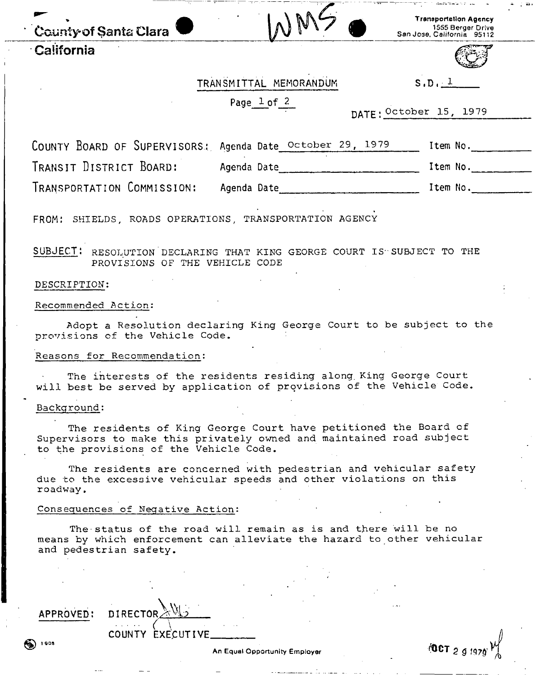| County of Santa Clara | W<br>$\Lambda$ | ransp<br>San Jose, C |
|-----------------------|----------------|----------------------|
| California            |                |                      |

Tranaportetion Agency<br>1555 Berger Drive



# TRANSMITTAL MEMORANDUM S, D. 1

Page 1 of 2

|  | DATE: October 15, | 1979 |
|--|-------------------|------|
|  |                   |      |

COUNTY BOARD OF SUPERVISORS: Agenda Date October 29, 1979 Item No. TRANSIT DISTRICT BOARD: Agenda Date item No. 11 and No. 12 and 12 and 12 and 12 and 12 and 12 and 12 and 12 and 12 and 12 and 12 and 12 and 12 and 12 and 12 and 12 and 12 and 12 and 12 and 12 and 12 and 12 and 12 and 12 an TRANSPORTATION COMMISSION: Agenda Date item No.

FROM: SHIELDS, ROADS OPERATIONS, TRANSPORTATION AGENCY

SUBJECT: RESOLUTION DECLARING THAT KING GEORGE COURT IS"SUBJECT TO THE PROVISIONS OF THE VEHICLE CODE

# DESCRIPTION:

## Recommended Action:

Adopt a Resolution declaring King George Court to be subject to the provisions of the Vehicle Code.

#### Reasons for Recommendation:

The interests of the residents residing along. King George Court will best be served by application of provisions of the Vehicle Code.

#### Background:

The residents of King George Court have petitioned the Board of Supervisors to make this privately owned and maintained road subject to the provisions of the Vehicle Code.

The residents are concerned with pedestrian and vehicular safety due to the excessive vehicular speeds and other violations on this roadway.

#### Consequences of Negative Action:

COUNTY EXECUTIVE\_

The status of the road will remain as is and there will be no means by which enforcement can alleviate the hazard to other vehicular and pedestrian safety.

APPROVED: DIRECTOR

An Equal Opportunity Employer *COCT* 5 *g* 197